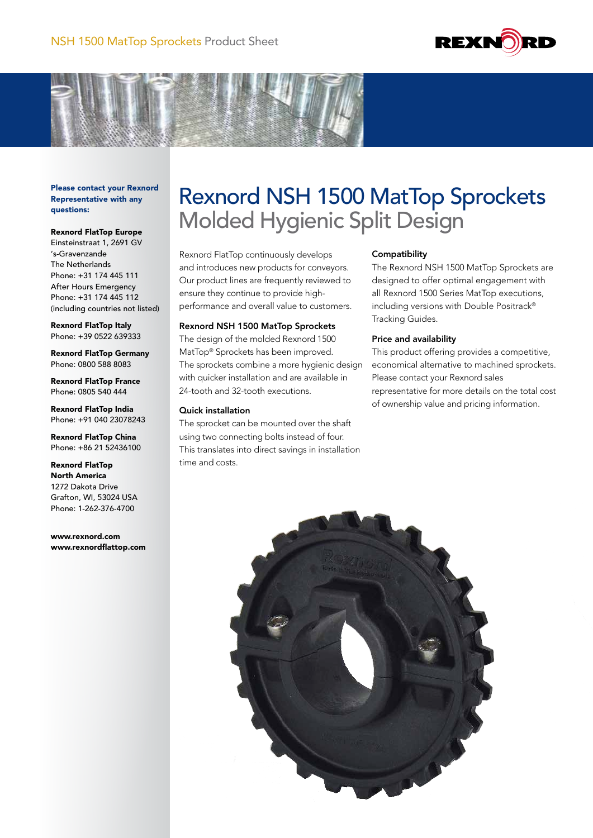



Please contact your Rexnord Representative with any questions:

## Rexnord FlatTop Europe

Einsteinstraat 1, 2691 GV 's-Gravenzande The Netherlands Phone: +31 174 445 111 After Hours Emergency Phone: +31 174 445 112 (including countries not listed)

Rexnord FlatTop Italy Phone: +39 0522 639333

Rexnord FlatTop Germany Phone: 0800 588 8083

Rexnord FlatTop France Phone: 0805 540 444

Rexnord FlatTop India Phone: +91 040 23078243

Rexnord FlatTop China Phone: +86 21 52436100

Rexnord FlatTop North America 1272 Dakota Drive Grafton, WI, 53024 USA Phone: 1-262-376-4700

www.rexnord.com www.rexnordflattop.com

# Rexnord NSH 1500 MatTop Sprockets Molded Hygienic Split Design

Rexnord FlatTop continuously develops and introduces new products for conveyors. Our product lines are frequently reviewed to ensure they continue to provide highperformance and overall value to customers.

## Rexnord NSH 1500 MatTop Sprockets

The design of the molded Rexnord 1500 MatTop® Sprockets has been improved. The sprockets combine a more hygienic design with quicker installation and are available in 24-tooth and 32-tooth executions.

## Quick installation

The sprocket can be mounted over the shaft using two connecting bolts instead of four. This translates into direct savings in installation time and costs.

## **Compatibility**

The Rexnord NSH 1500 MatTop Sprockets are designed to offer optimal engagement with all Rexnord 1500 Series MatTop executions, including versions with Double Positrack® Tracking Guides.

## Price and availability

This product offering provides a competitive, economical alternative to machined sprockets. Please contact your Rexnord sales representative for more details on the total cost of ownership value and pricing information.